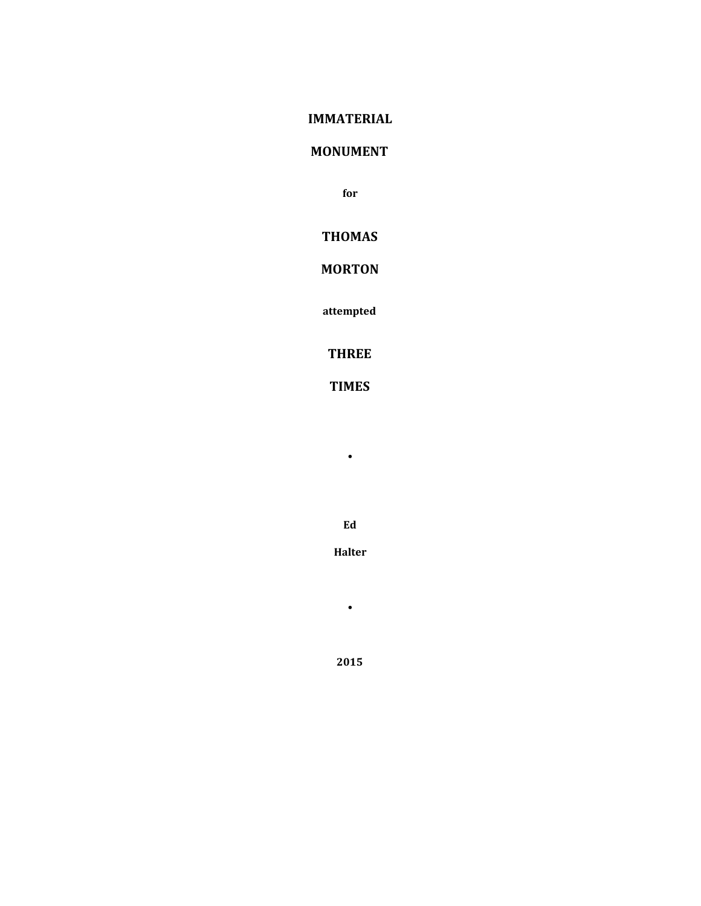## **IMMATERIAL**

## **MONUMENT**

**for**

## **THOMAS**

# **MORTON**

**attempted**

## **THREE**

# **TIMES**

**•**

**Ed**

**Halter**

**•**

**2015**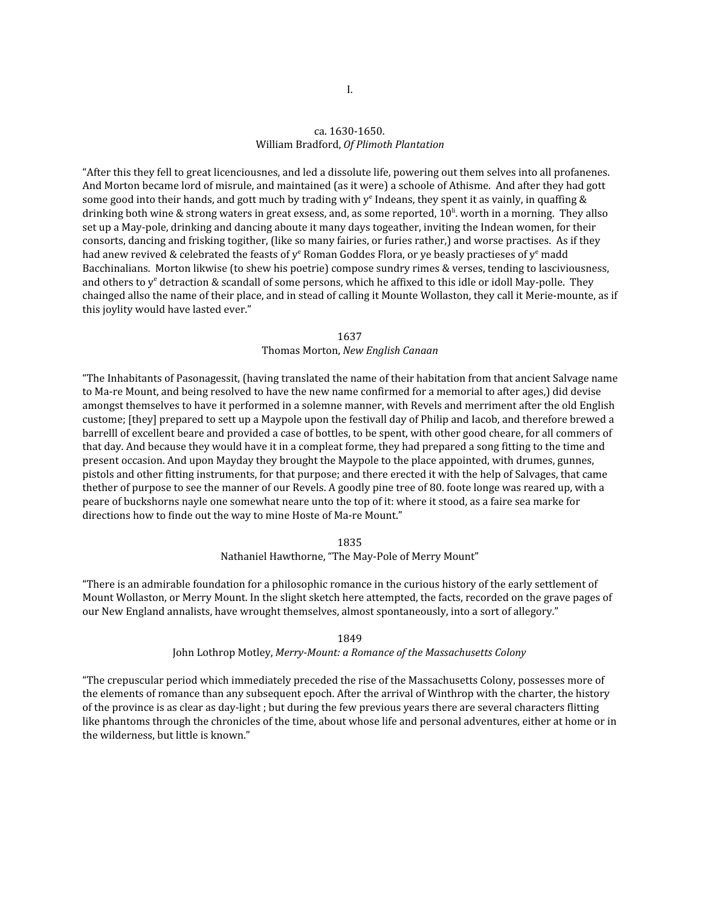## ca. 1630-1650. William Bradford, *Of Plimoth Plantation*

"After this they fell to great licenciousnes, and led a dissolute life, powering out them selves into all profanenes. And Morton became lord of misrule, and maintained (as it were) a schoole of Athisme. And after they had gott some good into their hands, and gott much by trading with  $y^e$  Indeans, they spent it as vainly, in quaffing & drinking both wine & strong waters in great exsess, and, as some reported,  $10^{\rm li}$  worth in a morning. They allso set up a May-pole, drinking and dancing aboute it many days togeather, inviting the Indean women, for their consorts, dancing and frisking togither, (like so many fairies, or furies rather,) and worse practises. As if they had anew revived & celebrated the feasts of  $y^e$  Roman Goddes Flora, or ye beasly practieses of  $y^e$  madd Bacchinalians. Morton likwise (to shew his poetrie) compose sundry rimes & verses, tending to lasciviousness, and others to y<sup>e</sup> detraction & scandall of some persons, which he affixed to this idle or idoll May-polle. They chainged allso the name of their place, and in stead of calling it Mounte Wollaston, they call it Merie-mounte, as if this joylity would have lasted ever."

> 1637 Thomas Morton, *New English Canaan*

"The Inhabitants of Pasonagessit, (having translated the name of their habitation from that ancient Salvage name to Ma-re Mount, and being resolved to have the new name confirmed for a memorial to after ages,) did devise amongst themselves to have it performed in a solemne manner, with Revels and merriment after the old English custome; [they] prepared to sett up a Maypole upon the festivall day of Philip and Iacob, and therefore brewed a barrelll of excellent beare and provided a case of bottles, to be spent, with other good cheare, for all commers of that day. And because they would have it in a compleat forme, they had prepared a song fitting to the time and present occasion. And upon Mayday they brought the Maypole to the place appointed, with drumes, gunnes, pistols and other fitting instruments, for that purpose; and there erected it with the help of Salvages, that came thether of purpose to see the manner of our Revels. A goodly pine tree of 80. foote longe was reared up, with a peare of buckshorns nayle one somewhat neare unto the top of it: where it stood, as a faire sea marke for directions how to finde out the way to mine Hoste of Ma-re Mount."

#### 1835

### Nathaniel Hawthorne, "The May-Pole of Merry Mount"

"There is an admirable foundation for a philosophic romance in the curious history of the early settlement of Mount Wollaston, or Merry Mount. In the slight sketch here attempted, the facts, recorded on the grave pages of our New England annalists, have wrought themselves, almost spontaneously, into a sort of allegory."

#### 1849

#### John Lothrop Motley, *Merry-Mount: a Romance of the Massachusetts Colony*

"The crepuscular period which immediately preceded the rise of the Massachusetts Colony, possesses more of the elements of romance than any subsequent epoch. After the arrival of Winthrop with the charter, the history of the province is as clear as day-light ; but during the few previous years there are several characters flitting like phantoms through the chronicles of the time, about whose life and personal adventures, either at home or in the wilderness, but little is known."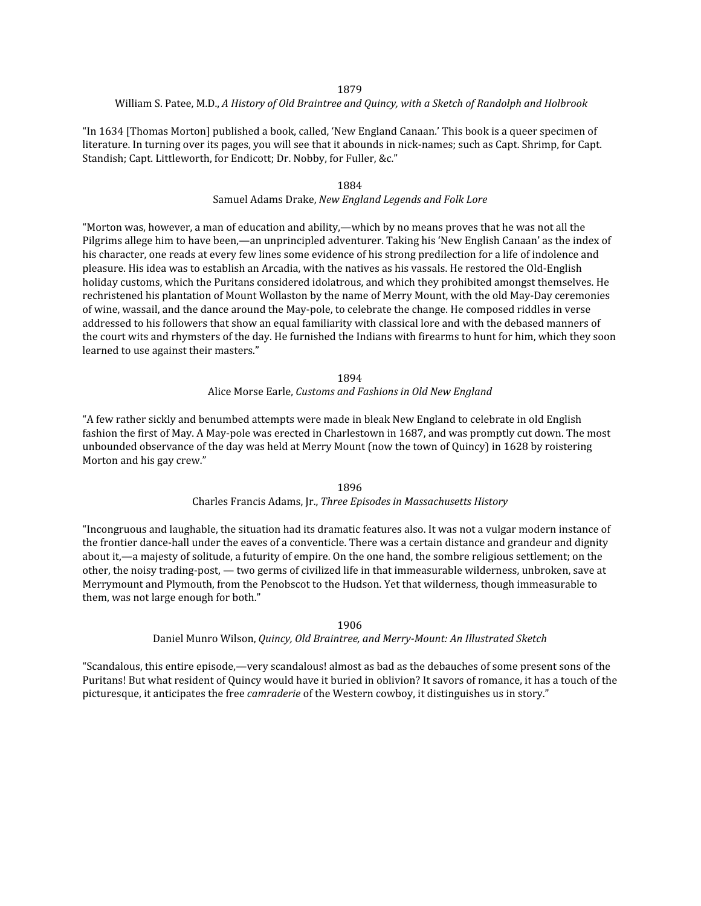#### 1879

#### William S. Patee, M.D., *A History of Old Braintree and Quincy, with a Sketch of Randolph and Holbrook*

"In 1634 [Thomas Morton] published a book, called, 'New England Canaan.' This book is a queer specimen of literature. In turning over its pages, you will see that it abounds in nick-names; such as Capt. Shrimp, for Capt. Standish; Capt. Littleworth, for Endicott; Dr. Nobby, for Fuller, &c."

#### 1884

## Samuel Adams Drake, *New England Legends and Folk Lore*

"Morton was, however, a man of education and ability,—which by no means proves that he was not all the Pilgrims allege him to have been,—an unprincipled adventurer. Taking his 'New English Canaan' as the index of his character, one reads at every few lines some evidence of his strong predilection for a life of indolence and pleasure. His idea was to establish an Arcadia, with the natives as his vassals. He restored the Old-English holiday customs, which the Puritans considered idolatrous, and which they prohibited amongst themselves. He rechristened his plantation of Mount Wollaston by the name of Merry Mount, with the old May-Day ceremonies of wine, wassail, and the dance around the May-pole, to celebrate the change. He composed riddles in verse addressed to his followers that show an equal familiarity with classical lore and with the debased manners of the court wits and rhymsters of the day. He furnished the Indians with firearms to hunt for him, which they soon learned to use against their masters."

## 1894 Alice Morse Earle, *Customs and Fashions in Old New England*

"A few rather sickly and benumbed attempts were made in bleak New England to celebrate in old English fashion the first of May. A May-pole was erected in Charlestown in 1687, and was promptly cut down. The most unbounded observance of the day was held at Merry Mount (now the town of Quincy) in 1628 by roistering Morton and his gay crew."

> 1896 Charles Francis Adams, Jr., *Three Episodes in Massachusetts History*

"Incongruous and laughable, the situation had its dramatic features also. It was not a vulgar modern instance of the frontier dance-hall under the eaves of a conventicle. There was a certain distance and grandeur and dignity about it,—a majesty of solitude, a futurity of empire. On the one hand, the sombre religious settlement; on the other, the noisy trading-post, — two germs of civilized life in that immeasurable wilderness, unbroken, save at Merrymount and Plymouth, from the Penobscot to the Hudson. Yet that wilderness, though immeasurable to them, was not large enough for both."

#### 1906

#### Daniel Munro Wilson, *Quincy, Old Braintree, and Merry-Mount: An Illustrated Sketch*

"Scandalous, this entire episode,—very scandalous! almost as bad as the debauches of some present sons of the Puritans! But what resident of Quincy would have it buried in oblivion? It savors of romance, it has a touch of the picturesque, it anticipates the free *camraderie* of the Western cowboy, it distinguishes us in story."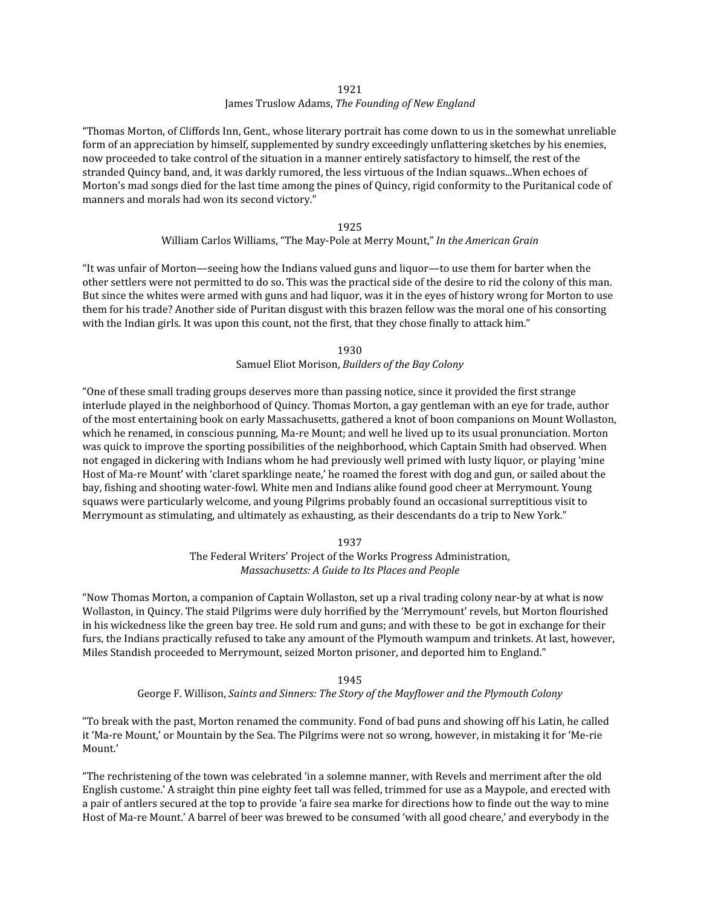1921

## James Truslow Adams, *The Founding of New England*

"Thomas Morton, of Cliffords Inn, Gent., whose literary portrait has come down to us in the somewhat unreliable form of an appreciation by himself, supplemented by sundry exceedingly unflattering sketches by his enemies, now proceeded to take control of the situation in a manner entirely satisfactory to himself, the rest of the stranded Quincy band, and, it was darkly rumored, the less virtuous of the Indian squaws...When echoes of Morton's mad songs died for the last time among the pines of Quincy, rigid conformity to the Puritanical code of manners and morals had won its second victory."

## 1925 William Carlos Williams, "The May-Pole at Merry Mount," *In the American Grain*

"It was unfair of Morton—seeing how the Indians valued guns and liquor—to use them for barter when the other settlers were not permitted to do so. This was the practical side of the desire to rid the colony of this man. But since the whites were armed with guns and had liquor, was it in the eyes of history wrong for Morton to use them for his trade? Another side of Puritan disgust with this brazen fellow was the moral one of his consorting with the Indian girls. It was upon this count, not the first, that they chose finally to attack him."

> 1930 Samuel Eliot Morison, *Builders of the Bay Colony*

"One of these small trading groups deserves more than passing notice, since it provided the first strange interlude played in the neighborhood of Quincy. Thomas Morton, a gay gentleman with an eye for trade, author of the most entertaining book on early Massachusetts, gathered a knot of boon companions on Mount Wollaston, which he renamed, in conscious punning, Ma-re Mount; and well he lived up to its usual pronunciation. Morton was quick to improve the sporting possibilities of the neighborhood, which Captain Smith had observed. When not engaged in dickering with Indians whom he had previously well primed with lusty liquor, or playing 'mine Host of Ma-re Mount' with 'claret sparklinge neate,' he roamed the forest with dog and gun, or sailed about the bay, fishing and shooting water-fowl. White men and Indians alike found good cheer at Merrymount. Young squaws were particularly welcome, and young Pilgrims probably found an occasional surreptitious visit to Merrymount as stimulating, and ultimately as exhausting, as their descendants do a trip to New York."

## 1937

The Federal Writers' Project of the Works Progress Administration, *Massachusetts: A Guide to Its Places and People*

"Now Thomas Morton, a companion of Captain Wollaston, set up a rival trading colony near-by at what is now Wollaston, in Quincy. The staid Pilgrims were duly horrified by the 'Merrymount' revels, but Morton flourished in his wickedness like the green bay tree. He sold rum and guns; and with these to be got in exchange for their furs, the Indians practically refused to take any amount of the Plymouth wampum and trinkets. At last, however, Miles Standish proceeded to Merrymount, seized Morton prisoner, and deported him to England."

## 1945

## George F. Willison, *Saints and Sinners: The Story of the Mayflower and the Plymouth Colony*

"To break with the past, Morton renamed the community. Fond of bad puns and showing off his Latin, he called it 'Ma-re Mount,' or Mountain by the Sea. The Pilgrims were not so wrong, however, in mistaking it for 'Me-rie Mount.'

"The rechristening of the town was celebrated 'in a solemne manner, with Revels and merriment after the old English custome.' A straight thin pine eighty feet tall was felled, trimmed for use as a Maypole, and erected with a pair of antlers secured at the top to provide 'a faire sea marke for directions how to finde out the way to mine Host of Ma-re Mount.' A barrel of beer was brewed to be consumed 'with all good cheare,' and everybody in the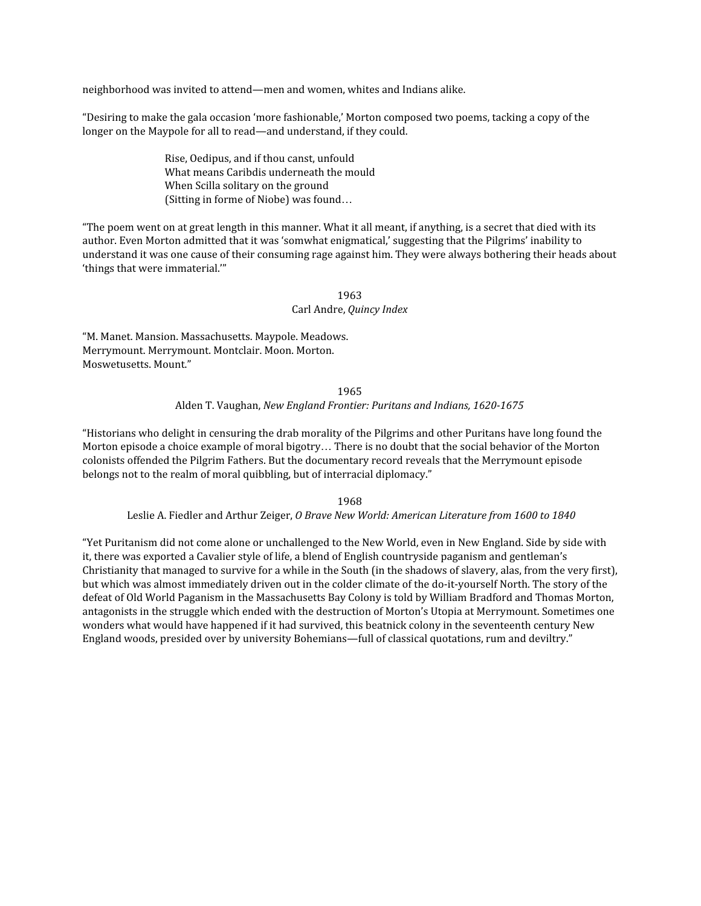neighborhood was invited to attend—men and women, whites and Indians alike.

"Desiring to make the gala occasion 'more fashionable,' Morton composed two poems, tacking a copy of the longer on the Maypole for all to read—and understand, if they could.

> Rise, Oedipus, and if thou canst, unfould What means Caribdis underneath the mould When Scilla solitary on the ground (Sitting in forme of Niobe) was found…

"The poem went on at great length in this manner. What it all meant, if anything, is a secret that died with its author. Even Morton admitted that it was 'somwhat enigmatical,' suggesting that the Pilgrims' inability to understand it was one cause of their consuming rage against him. They were always bothering their heads about 'things that were immaterial.'"

## 1963 Carl Andre, *Quincy Index*

"M. Manet. Mansion. Massachusetts. Maypole. Meadows. Merrymount. Merrymount. Montclair. Moon. Morton. Moswetusetts. Mount."

1965

### Alden T. Vaughan, *New England Frontier: Puritans and Indians, 1620-1675*

"Historians who delight in censuring the drab morality of the Pilgrims and other Puritans have long found the Morton episode a choice example of moral bigotry… There is no doubt that the social behavior of the Morton colonists offended the Pilgrim Fathers. But the documentary record reveals that the Merrymount episode belongs not to the realm of moral quibbling, but of interracial diplomacy."

1968

#### Leslie A. Fiedler and Arthur Zeiger, *O Brave New World: American Literature from 1600 to 1840*

"Yet Puritanism did not come alone or unchallenged to the New World, even in New England. Side by side with it, there was exported a Cavalier style of life, a blend of English countryside paganism and gentleman's Christianity that managed to survive for a while in the South (in the shadows of slavery, alas, from the very first), but which was almost immediately driven out in the colder climate of the do-it-yourself North. The story of the defeat of Old World Paganism in the Massachusetts Bay Colony is told by William Bradford and Thomas Morton, antagonists in the struggle which ended with the destruction of Morton's Utopia at Merrymount. Sometimes one wonders what would have happened if it had survived, this beatnick colony in the seventeenth century New England woods, presided over by university Bohemians—full of classical quotations, rum and deviltry."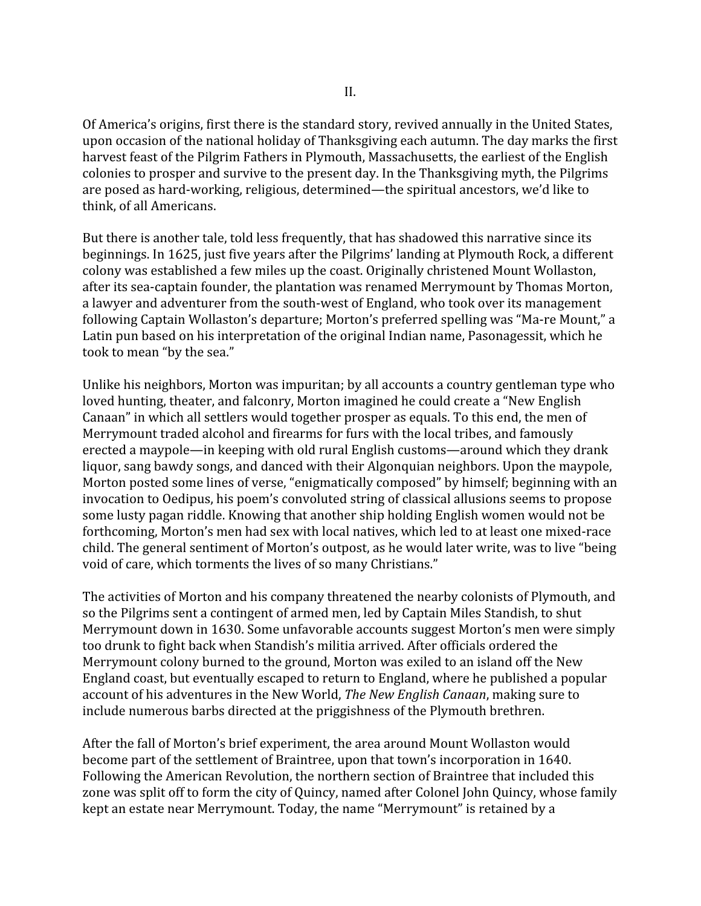Of America's origins, first there is the standard story, revived annually in the United States, upon occasion of the national holiday of Thanksgiving each autumn. The day marks the first harvest feast of the Pilgrim Fathers in Plymouth, Massachusetts, the earliest of the English colonies to prosper and survive to the present day. In the Thanksgiving myth, the Pilgrims are posed as hard-working, religious, determined—the spiritual ancestors, we'd like to think, of all Americans.

But there is another tale, told less frequently, that has shadowed this narrative since its beginnings. In 1625, just five years after the Pilgrims' landing at Plymouth Rock, a different colony was established a few miles up the coast. Originally christened Mount Wollaston, after its sea-captain founder, the plantation was renamed Merrymount by Thomas Morton, a lawyer and adventurer from the south-west of England, who took over its management following Captain Wollaston's departure; Morton's preferred spelling was "Ma-re Mount," a Latin pun based on his interpretation of the original Indian name, Pasonagessit, which he took to mean "by the sea."

Unlike his neighbors, Morton was impuritan; by all accounts a country gentleman type who loved hunting, theater, and falconry, Morton imagined he could create a "New English Canaan" in which all settlers would together prosper as equals. To this end, the men of Merrymount traded alcohol and firearms for furs with the local tribes, and famously erected a maypole—in keeping with old rural English customs—around which they drank liquor, sang bawdy songs, and danced with their Algonquian neighbors. Upon the maypole, Morton posted some lines of verse, "enigmatically composed" by himself; beginning with an invocation to Oedipus, his poem's convoluted string of classical allusions seems to propose some lusty pagan riddle. Knowing that another ship holding English women would not be forthcoming, Morton's men had sex with local natives, which led to at least one mixed-race child. The general sentiment of Morton's outpost, as he would later write, was to live "being void of care, which torments the lives of so many Christians."

The activities of Morton and his company threatened the nearby colonists of Plymouth, and so the Pilgrims sent a contingent of armed men, led by Captain Miles Standish, to shut Merrymount down in 1630. Some unfavorable accounts suggest Morton's men were simply too drunk to fight back when Standish's militia arrived. After officials ordered the Merrymount colony burned to the ground, Morton was exiled to an island off the New England coast, but eventually escaped to return to England, where he published a popular account of his adventures in the New World, *The New English Canaan*, making sure to include numerous barbs directed at the priggishness of the Plymouth brethren.

After the fall of Morton's brief experiment, the area around Mount Wollaston would become part of the settlement of Braintree, upon that town's incorporation in 1640. Following the American Revolution, the northern section of Braintree that included this zone was split off to form the city of Quincy, named after Colonel John Quincy, whose family kept an estate near Merrymount. Today, the name "Merrymount" is retained by a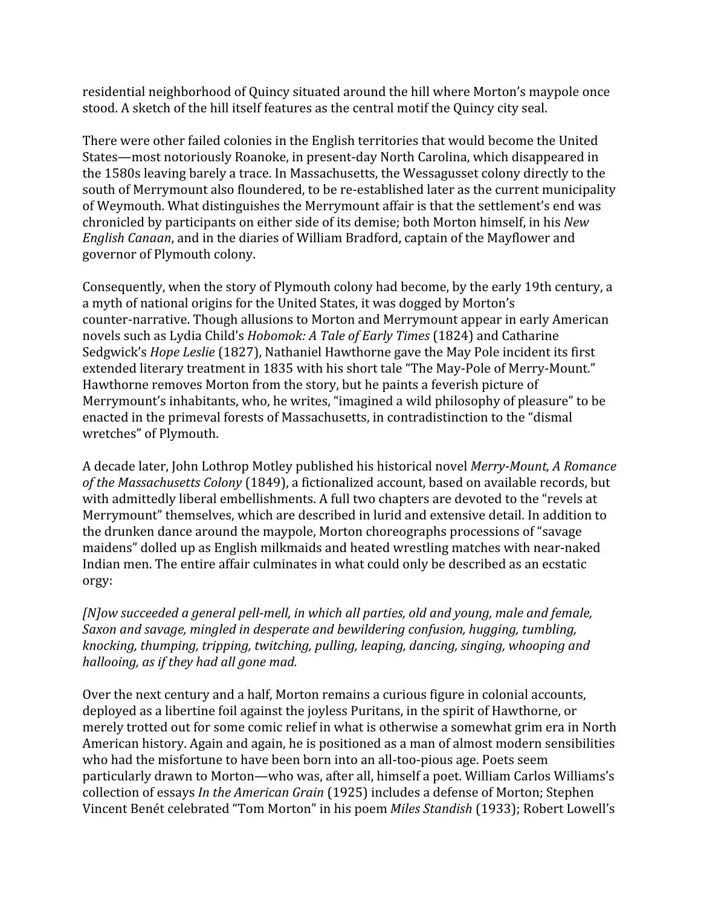residential neighborhood of Quincy situated around the hill where Morton's maypole once stood. A sketch of the hill itself features as the central motif the Quincy city seal.

There were other failed colonies in the English territories that would become the United States—most notoriously Roanoke, in present-day North Carolina, which disappeared in the 1580s leaving barely a trace. In Massachusetts, the Wessagusset colony directly to the south of Merrymount also floundered, to be re-established later as the current municipality of Weymouth. What distinguishes the Merrymount affair is that the settlement's end was chronicled by participants on either side of its demise; both Morton himself, in his *New English Canaan*, and in the diaries of William Bradford, captain of the Mayflower and governor of Plymouth colony.

Consequently, when the story of Plymouth colony had become, by the early 19th century, a a myth of national origins for the United States, it was dogged by Morton's counter-narrative. Though allusions to Morton and Merrymount appear in early American novels such as Lydia Child's *Hobomok: A Tale of Early Times* (1824) and Catharine Sedgwick's *Hope Leslie* (1827), Nathaniel Hawthorne gave the May Pole incident its first extended literary treatment in 1835 with his short tale "The May-Pole of Merry-Mount." Hawthorne removes Morton from the story, but he paints a feverish picture of Merrymount's inhabitants, who, he writes, "imagined a wild philosophy of pleasure" to be enacted in the primeval forests of Massachusetts, in contradistinction to the "dismal wretches" of Plymouth.

A decade later, John Lothrop Motley published his historical novel *Merry-Mount, A Romance of the Massachusetts Colony* (1849), a fictionalized account, based on available records, but with admittedly liberal embellishments. A full two chapters are devoted to the "revels at Merrymount" themselves, which are described in lurid and extensive detail. In addition to the drunken dance around the maypole, Morton choreographs processions of "savage maidens" dolled up as English milkmaids and heated wrestling matches with near-naked Indian men. The entire affair culminates in what could only be described as an ecstatic orgy:

*[N]ow succeeded a general pell-mell, in which all parties, old and young, male and female, Saxon and savage, mingled in desperate and bewildering confusion, hugging, tumbling, knocking, thumping, tripping, twitching, pulling, leaping, dancing, singing, whooping and hallooing, as if they had all gone mad.*

Over the next century and a half, Morton remains a curious figure in colonial accounts, deployed as a libertine foil against the joyless Puritans, in the spirit of Hawthorne, or merely trotted out for some comic relief in what is otherwise a somewhat grim era in North American history. Again and again, he is positioned as a man of almost modern sensibilities who had the misfortune to have been born into an all-too-pious age. Poets seem particularly drawn to Morton—who was, after all, himself a poet. William Carlos Williams's collection of essays *In the American Grain* (1925) includes a defense of Morton; Stephen Vincent Benét celebrated "Tom Morton" in his poem *Miles Standish* (1933); Robert Lowell's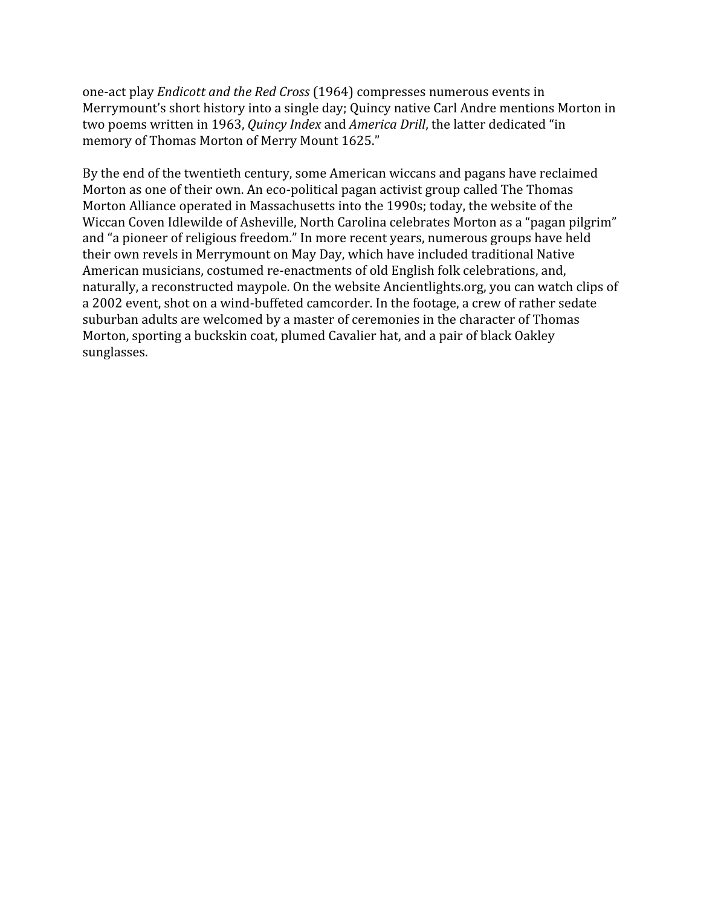one-act play *Endicott and the Red Cross* (1964) compresses numerous events in Merrymount's short history into a single day; Quincy native Carl Andre mentions Morton in two poems written in 1963, *Quincy Index* and *America Drill*, the latter dedicated "in memory of Thomas Morton of Merry Mount 1625."

By the end of the twentieth century, some American wiccans and pagans have reclaimed Morton as one of their own. An eco-political pagan activist group called The Thomas Morton Alliance operated in Massachusetts into the 1990s; today, the website of the Wiccan Coven Idlewilde of Asheville, North Carolina celebrates Morton as a "pagan pilgrim" and "a pioneer of religious freedom." In more recent years, numerous groups have held their own revels in Merrymount on May Day, which have included traditional Native American musicians, costumed re-enactments of old English folk celebrations, and, naturally, a reconstructed maypole. On the website Ancientlights.org, you can watch clips of a 2002 event, shot on a wind-buffeted camcorder. In the footage, a crew of rather sedate suburban adults are welcomed by a master of ceremonies in the character of Thomas Morton, sporting a buckskin coat, plumed Cavalier hat, and a pair of black Oakley sunglasses.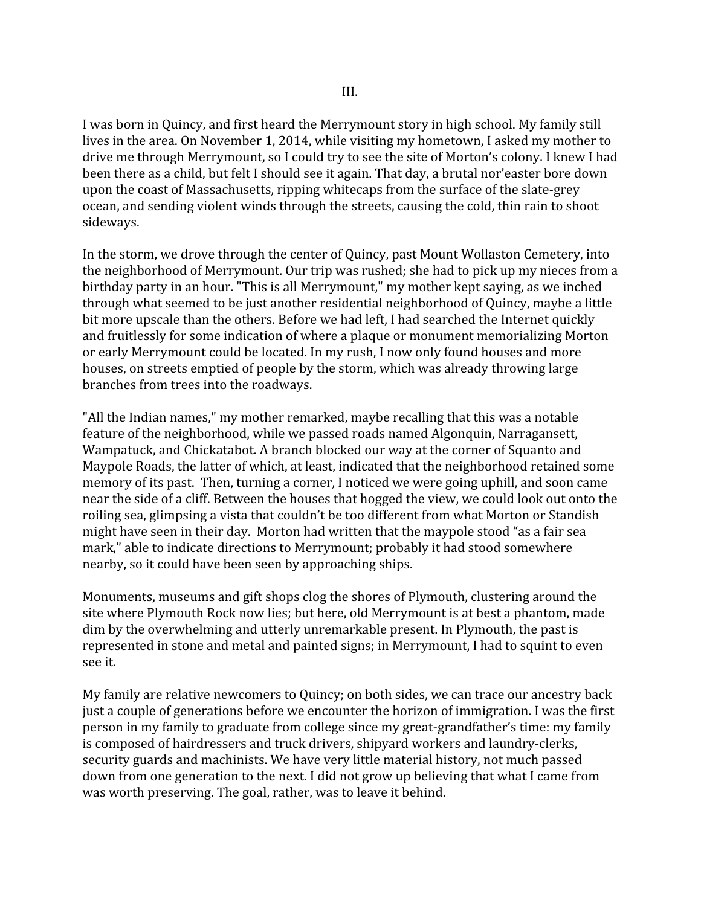I was born in Quincy, and first heard the Merrymount story in high school. My family still lives in the area. On November 1, 2014, while visiting my hometown, I asked my mother to drive me through Merrymount, so I could try to see the site of Morton's colony. I knew I had been there as a child, but felt I should see it again. That day, a brutal nor'easter bore down upon the coast of Massachusetts, ripping whitecaps from the surface of the slate-grey ocean, and sending violent winds through the streets, causing the cold, thin rain to shoot sideways.

In the storm, we drove through the center of Quincy, past Mount Wollaston Cemetery, into the neighborhood of Merrymount. Our trip was rushed; she had to pick up my nieces from a birthday party in an hour. "This is all Merrymount," my mother kept saying, as we inched through what seemed to be just another residential neighborhood of Quincy, maybe a little bit more upscale than the others. Before we had left, I had searched the Internet quickly and fruitlessly for some indication of where a plaque or monument memorializing Morton or early Merrymount could be located. In my rush, I now only found houses and more houses, on streets emptied of people by the storm, which was already throwing large branches from trees into the roadways.

"All the Indian names," my mother remarked, maybe recalling that this was a notable feature of the neighborhood, while we passed roads named Algonquin, Narragansett, Wampatuck, and Chickatabot. A branch blocked our way at the corner of Squanto and Maypole Roads, the latter of which, at least, indicated that the neighborhood retained some memory of its past. Then, turning a corner, I noticed we were going uphill, and soon came near the side of a cliff. Between the houses that hogged the view, we could look out onto the roiling sea, glimpsing a vista that couldn't be too different from what Morton or Standish might have seen in their day. Morton had written that the maypole stood "as a fair sea mark," able to indicate directions to Merrymount; probably it had stood somewhere nearby, so it could have been seen by approaching ships.

Monuments, museums and gift shops clog the shores of Plymouth, clustering around the site where Plymouth Rock now lies; but here, old Merrymount is at best a phantom, made dim by the overwhelming and utterly unremarkable present. In Plymouth, the past is represented in stone and metal and painted signs; in Merrymount, I had to squint to even see it.

My family are relative newcomers to Quincy; on both sides, we can trace our ancestry back just a couple of generations before we encounter the horizon of immigration. I was the first person in my family to graduate from college since my great-grandfather's time: my family is composed of hairdressers and truck drivers, shipyard workers and laundry-clerks, security guards and machinists. We have very little material history, not much passed down from one generation to the next. I did not grow up believing that what I came from was worth preserving. The goal, rather, was to leave it behind.